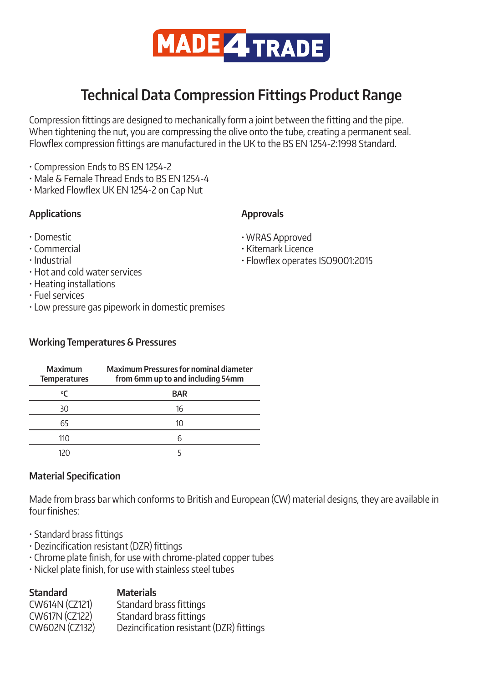

# **Technical Data Compression Fittings Product Range**

Compression fittings are designed to mechanically form a joint between the fitting and the pipe. When tightening the nut, you are compressing the olive onto the tube, creating a permanent seal. Flowflex compression fittings are manufactured in the UK to the BS EN 1254-2:1998 Standard.

- Compression Ends to BS EN 1254-2
- Male & Female Thread Ends to BS EN 1254-4
- Marked Flowflex UK EN 1254-2 on Cap Nut

# **Applications**

# **Approvals**

- Domestic
- Commercial
- Industrial
- Hot and cold water services
- Heating installations
- Fuel services
- Low pressure gas pipework in domestic premises

# **Working Temperatures & Pressures**

| <b>Maximum</b><br><b>Temperatures</b> | <b>Maximum Pressures for nominal diameter</b><br>from 6mm up to and including 54mm |
|---------------------------------------|------------------------------------------------------------------------------------|
| $\mathsf{C}$                          | <b>BAR</b>                                                                         |
| 30                                    | 16                                                                                 |
| 65                                    | 10                                                                                 |
| 11N                                   | h                                                                                  |
|                                       |                                                                                    |

# **Material Specification**

Made from brass bar which conforms to British and European (CW) material designs, they are available in four finishes:

- Standard brass fittings
- Dezincification resistant (DZR) fittings
- Chrome plate finish, for use with chrome-plated copper tubes
- Nickel plate finish, for use with stainless steel tubes

| <b>Standard</b>       | <b>Materials</b>                         |
|-----------------------|------------------------------------------|
| <b>CW614N (CZ121)</b> | Standard brass fittings                  |
| <b>CW617N (CZ122)</b> | Standard brass fittings                  |
| CW602N (CZ132)        | Dezincification resistant (DZR) fittings |

- WRAS Approved
- Kitemark Licence
- Flowflex operates ISO9001:2015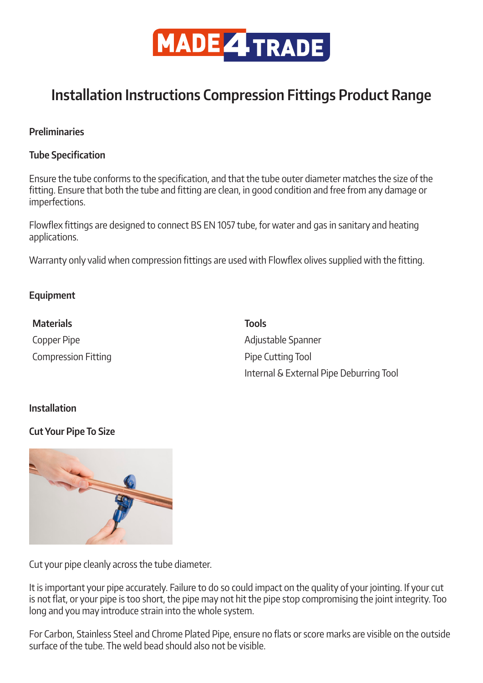

# **Installation Instructions Compression Fittings Product Range**

# **Preliminaries**

# **Tube Specification**

Ensure the tube conforms to the specification, and that the tube outer diameter matches the size of the fitting. Ensure that both the tube and fitting are clean, in good condition and free from any damage or imperfections.

Flowflex fittings are designed to connect BS EN 1057 tube, for water and gas in sanitary and heating applications.

Warranty only valid when compression fittings are used with Flowflex olives supplied with the fitting.

# **Equipment**

| <b>Materials</b>           | <b>Tools</b>                            |
|----------------------------|-----------------------------------------|
| Copper Pipe                | Adjustable Spanner                      |
| <b>Compression Fitting</b> | Pipe Cutting Tool                       |
|                            | Internal & External Pipe Deburring Tool |

# **Installation**

# **Cut Your Pipe To Size**



Cut your pipe cleanly across the tube diameter.

It is important your pipe accurately. Failure to do so could impact on the quality of your jointing. If your cut is not flat, or your pipe is too short, the pipe may not hit the pipe stop compromising the joint integrity. Too long and you may introduce strain into the whole system.

For Carbon, Stainless Steel and Chrome Plated Pipe, ensure no flats or score marks are visible on the outside surface of the tube. The weld bead should also not be visible.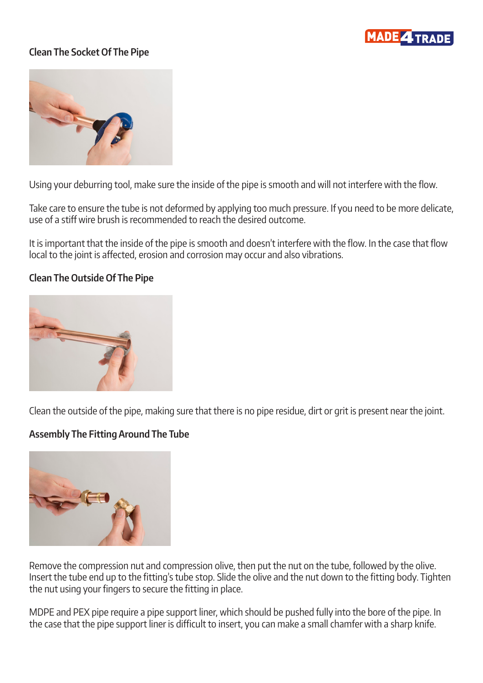

# **Clean The Socket Of The Pipe**



Using your deburring tool, make sure the inside of the pipe is smooth and will not interfere with the flow.

Take care to ensure the tube is not deformed by applying too much pressure. If you need to be more delicate, use of a stiff wire brush is recommended to reach the desired outcome.

It is important that the inside of the pipe is smooth and doesn't interfere with the flow. In the case that flow local to the joint is affected, erosion and corrosion may occur and also vibrations.

### **Clean The Outside Of The Pipe**



Clean the outside of the pipe, making sure that there is no pipe residue, dirt or grit is present near the joint.

# **Assembly The Fitting Around The Tube**



Remove the compression nut and compression olive, then put the nut on the tube, followed by the olive. Insert the tube end up to the fitting's tube stop. Slide the olive and the nut down to the fitting body. Tighten the nut using your fingers to secure the fitting in place.

MDPE and PEX pipe require a pipe support liner, which should be pushed fully into the bore of the pipe. In the case that the pipe support liner is difficult to insert, you can make a small chamfer with a sharp knife.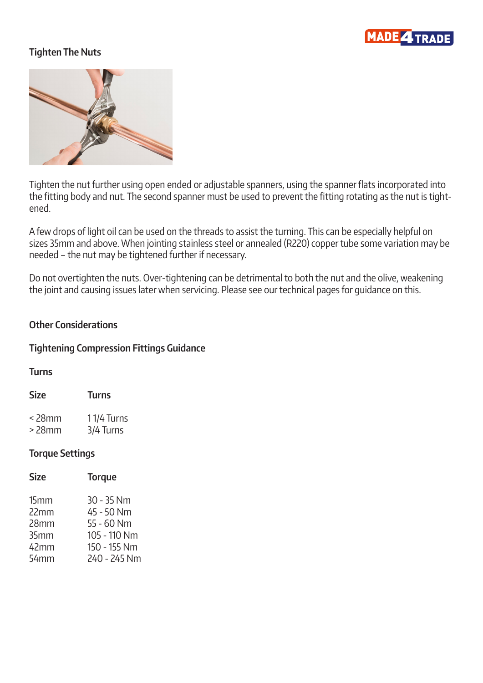

# **Tighten The Nuts**



Tighten the nut further using open ended or adjustable spanners, using the spanner flats incorporated into the fitting body and nut. The second spanner must be used to prevent the fitting rotating as the nut is tightened.

A few drops of light oil can be used on the threads to assist the turning. This can be especially helpful on sizes 35mm and above. When jointing stainless steel or annealed (R220) copper tube some variation may be needed – the nut may be tightened further if necessary.

Do not overtighten the nuts. Over-tightening can be detrimental to both the nut and the olive, weakening the joint and causing issues later when servicing. Please see our technical pages for guidance on this.

### **Other Considerations**

#### **Tightening Compression Fittings Guidance**

### **Turns**

| <b>Size</b> | <b>Turns</b> |
|-------------|--------------|
| $<$ 28 $mm$ | 11/4 Turns   |
| $>$ 28 $mm$ | 3/4 Turns    |

#### **Torque Settings**

| <b>Torque</b> | <b>Size</b> |
|---------------|-------------|
| 30 - 35 Nm    | 15mm        |
| 45 - 50 Nm    | 22mm        |
| 55 - 60 Nm    | 28mm        |
| 105 - 110 Nm  | 35mm        |
| 150 - 155 Nm  | 42mm        |
| 240 - 245 Nm  | 54mm        |
|               |             |